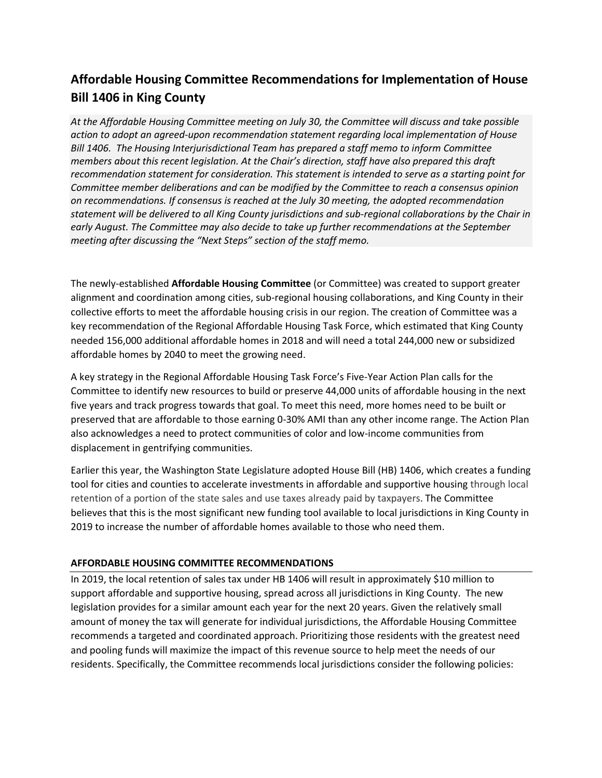# **Affordable Housing Committee Recommendations for Implementation of House Bill 1406 in King County**

*At the Affordable Housing Committee meeting on July 30, the Committee will discuss and take possible action to adopt an agreed-upon recommendation statement regarding local implementation of House Bill 1406. The Housing Interjurisdictional Team has prepared a staff memo to inform Committee members about this recent legislation. At the Chair's direction, staff have also prepared this draft recommendation statement for consideration. This statement is intended to serve as a starting point for Committee member deliberations and can be modified by the Committee to reach a consensus opinion on recommendations. If consensus is reached at the July 30 meeting, the adopted recommendation statement will be delivered to all King County jurisdictions and sub-regional collaborations by the Chair in early August. The Committee may also decide to take up further recommendations at the September meeting after discussing the "Next Steps" section of the staff memo.*

The newly-established **Affordable Housing Committee** (or Committee) was created to support greater alignment and coordination among cities, sub-regional housing collaborations, and King County in their collective efforts to meet the affordable housing crisis in our region. The creation of Committee was a key recommendation of the Regional Affordable Housing Task Force, which estimated that King County needed 156,000 additional affordable homes in 2018 and will need a total 244,000 new or subsidized affordable homes by 2040 to meet the growing need.

A key strategy in the Regional Affordable Housing Task Force's Five-Year Action Plan calls for the Committee to identify new resources to build or preserve 44,000 units of affordable housing in the next five years and track progress towards that goal. To meet this need, more homes need to be built or preserved that are affordable to those earning 0-30% AMI than any other income range. The Action Plan also acknowledges a need to protect communities of color and low-income communities from displacement in gentrifying communities.

Earlier this year, the Washington State Legislature adopted House Bill (HB) 1406, which creates a funding tool for cities and counties to accelerate investments in affordable and supportive housing through local retention of a portion of the state sales and use taxes already paid by taxpayers. The Committee believes that this is the most significant new funding tool available to local jurisdictions in King County in 2019 to increase the number of affordable homes available to those who need them.

#### **AFFORDABLE HOUSING COMMITTEE RECOMMENDATIONS**

In 2019, the local retention of sales tax under HB 1406 will result in approximately \$10 million to support affordable and supportive housing, spread across all jurisdictions in King County. The new legislation provides for a similar amount each year for the next 20 years. Given the relatively small amount of money the tax will generate for individual jurisdictions, the Affordable Housing Committee recommends a targeted and coordinated approach. Prioritizing those residents with the greatest need and pooling funds will maximize the impact of this revenue source to help meet the needs of our residents. Specifically, the Committee recommends local jurisdictions consider the following policies: